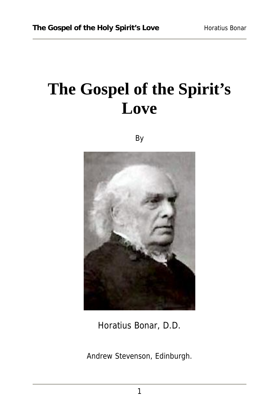## **The Gospel of the Spirit's Love**

By



Horatius Bonar, D.D.

Andrew Stevenson, Edinburgh.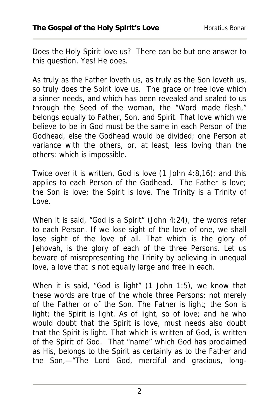Does the Holy Spirit love us? There can be but one answer to this question. Yes! He does.

As truly as the Father loveth us, as truly as the Son loveth us, so truly does the Spirit love us. The grace or free love which a sinner needs, and which has been revealed and sealed to us through the Seed of the woman, the "Word made flesh," belongs equally to Father, Son, and Spirit. That love which we believe to be in God must be the same in each Person of the Godhead, else the Godhead would be divided; one Person at variance with the others, or, at least, less loving than the others: which is impossible.

Twice over it is written, God is love (1 John 4:8,16); and this applies to each Person of the Godhead. The Father is love; the Son is love; the Spirit is love. The Trinity is a Trinity of Love.

When it is said, "God is a Spirit" (John 4:24), the words refer to each Person. If we lose sight of the love of one, we shall lose sight of the love of all. That which is the glory of Jehovah, is the glory of each of the three Persons. Let us beware of misrepresenting the Trinity by believing in unequal love, a love that is not equally large and free in each.

When it is said, "God is light" (1 John 1:5), we know that these words are true of the whole three Persons; not merely of the Father or of the Son. The Father is light; the Son is light; the Spirit is light. As of light, so of love; and he who would doubt that the Spirit is love, must needs also doubt that the Spirit is light. That which is written of God, is written of the Spirit of God. That "name" which God has proclaimed as His, belongs to the Spirit as certainly as to the Father and the Son,—"The Lord God, merciful and gracious, long-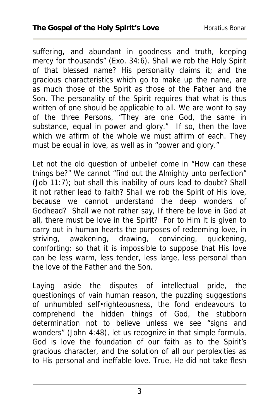suffering, and abundant in goodness and truth, keeping mercy for thousands" (Exo. 34:6). Shall we rob the Holy Spirit of that blessed name? His personality claims it; and the gracious characteristics which go to make up the name, are as much those of the Spirit as those of the Father and the Son. The personality of the Spirit requires that what is thus written of one should be applicable to all. We are wont to say of the three Persons, "They are one God, the same in substance, equal in power and glory." If so, then the love which we affirm of the whole we must affirm of each. They must be equal in love, as well as in "power and glory."

Let not the old question of unbelief come in "How can these things be?" We cannot "find out the Almighty unto perfection" (Job 11:7); but shall this inability of ours lead to doubt? Shall it not rather lead to faith? Shall we rob the Spirit of His love, because we cannot understand the deep wonders of Godhead? Shall we not rather say, If there be love in God at all, there must be love in the Spirit? For to Him it is given to carry out in human hearts the purposes of redeeming love, in striving, awakening, drawing, convincing, quickening, comforting; so that it is impossible to suppose that His love can be less warm, less tender, less large, less personal than the love of the Father and the Son.

Laying aside the disputes of intellectual pride, the questionings of vain human reason, the puzzling suggestions of unhumbled self•righteousness, the fond endeavours to comprehend the hidden things of God, the stubborn determination not to believe unless we see "signs and wonders" (John 4:48), let us recognize in that simple formula, God is love the foundation of our faith as to the Spirit's gracious character, and the solution of all our perplexities as to His personal and ineffable love. True, He did not take flesh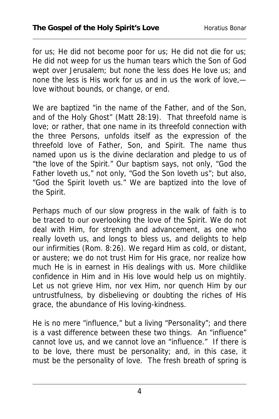for us; He did not become poor for us; He did not die for us; He did not weep for us the human tears which the Son of God wept over Jerusalem; but none the less does He love us; and none the less is His work for us and in us the work of love, love without bounds, or change, or end.

We are baptized "in the name of the Father, and of the Son, and of the Holy Ghost" (Matt 28:19). That threefold name is love; or rather, that one name in its threefold connection with the three Persons, unfolds itself as the expression of the threefold love of Father, Son, and Spirit. The name thus named upon us is the divine declaration and pledge to us of "the love of the Spirit." Our baptism says, not only, "God the Father loveth us," not only, "God the Son loveth us"; but also, "God the Spirit loveth us." We are baptized into the love of the Spirit.

Perhaps much of our slow progress in the walk of faith is to be traced to our overlooking the love of the Spirit. We do not deal with Him, for strength and advancement, as one who really loveth us, and longs to bless us, and delights to help our infirmities (Rom. 8:26). We regard Him as cold, or distant, or austere; we do not trust Him for His grace, nor realize how much He is in earnest in His dealings with us. More childlike confidence in Him and in His love would help us on mightily. Let us not grieve Him, nor vex Him, nor quench Him by our untrustfulness, by disbelieving or doubting the riches of His grace, the abundance of His loving-kindness.

He is no mere "influence," but a living "Personality"; and there is a vast difference between these two things. An "influence" cannot love us, and we cannot love an "influence." If there is to be love, there must be personality; and, in this case, it must be the personality of love. The fresh breath of spring is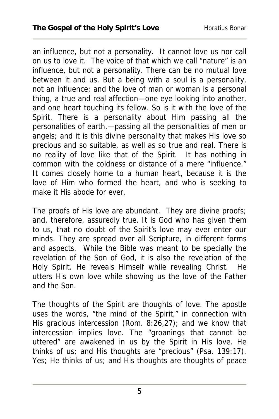an influence, but not a personality. It cannot love us nor call on us to love it. The voice of that which we call "nature" is an influence, but not a personality. There can be no mutual love between it and us. But a being with a soul is a personality, not an influence; and the love of man or woman is a personal thing, a true and real affection—one eye looking into another, and one heart touching its fellow. So is it with the love of the Spirit. There is a personality about Him passing all the personalities of earth,—passing all the personalities of men or angels; and it is this divine personality that makes His love so precious and so suitable, as well as so true and real. There is no reality of love like that of the Spirit. It has nothing in common with the coldness or distance of a mere "influence." It comes closely home to a human heart, because it is the love of Him who formed the heart, and who is seeking to make it His abode for ever.

The proofs of His love are abundant. They are divine proofs; and, therefore, assuredly true. It is God who has given them to us, that no doubt of the Spirit's love may ever enter our minds. They are spread over all Scripture, in different forms and aspects. While the Bible was meant to be specially the revelation of the Son of God, it is also the revelation of the Holy Spirit. He reveals Himself while revealing Christ. He utters His own love while showing us the love of the Father and the Son.

The thoughts of the Spirit are thoughts of love. The apostle uses the words, "the mind of the Spirit," in connection with His gracious intercession (Rom. 8:26,27); and we know that intercession implies love. The "groanings that cannot be uttered" are awakened in us by the Spirit in His love. He thinks of us; and His thoughts are "precious" (Psa. 139:17). Yes; He thinks of us; and His thoughts are thoughts of peace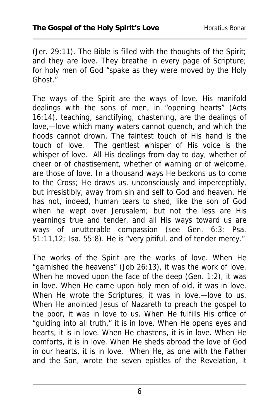(Jer. 29:11). The Bible is filled with the thoughts of the Spirit; and they are love. They breathe in every page of Scripture; for holy men of God "spake as they were moved by the Holy Ghost."

The ways of the Spirit are the ways of love. His manifold dealings with the sons of men, in "opening hearts" (Acts 16:14), teaching, sanctifying, chastening, are the dealings of love,—love which many waters cannot quench, and which the floods cannot drown. The faintest touch of His hand is the touch of love. The gentlest whisper of His voice is the whisper of love. All His dealings from day to day, whether of cheer or of chastisement, whether of warning or of welcome, are those of love. In a thousand ways He beckons us to come to the Cross; He draws us, unconsciously and imperceptibly, but irresistibly, away from sin and self to God and heaven. He has not, indeed, human tears to shed, like the son of God when he wept over Jerusalem; but not the less are His yearnings true and tender, and all His ways toward us are ways of unutterable compassion (see Gen. 6:3; Psa. 51:11,12; Isa. 55:8). He is "very pitiful, and of tender mercy."

The works of the Spirit are the works of love. When He "garnished the heavens" (Job 26:13), it was the work of love. When he moved upon the face of the deep (Gen. 1:2), it was in love. When He came upon holy men of old, it was in love. When He wrote the Scriptures, it was in love,—love to us. When He anointed Jesus of Nazareth to preach the gospel to the poor, it was in love to us. When He fulfills His office of "guiding into all truth," it is in love. When He opens eyes and hearts, it is in love. When He chastens, it is in love. When He comforts, it is in love. When He sheds abroad the love of God in our hearts, it is in love. When He, as one with the Father and the Son, wrote the seven epistles of the Revelation, it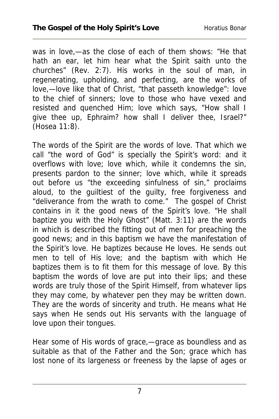was in love,—as the close of each of them shows: "He that hath an ear, let him hear what the Spirit saith unto the churches" (Rev. 2:7). His works in the soul of man, in regenerating, upholding, and perfecting, are the works of love,—love like that of Christ, "that passeth knowledge": love to the chief of sinners; love to those who have vexed and resisted and quenched Him; love which says, "How shall I give thee up, Ephraim? how shall I deliver thee, Israel?" (Hosea 11:8).

The words of the Spirit are the words of love. That which we call "the word of God" is specially the Spirit's word: and it overflows with love; love which, while it condemns the sin, presents pardon to the sinner; love which, while it spreads out before us "the exceeding sinfulness of sin," proclaims aloud, to the guiltiest of the guilty, free forgiveness and "deliverance from the wrath to come." The gospel of Christ contains in it the good news of the Spirit's love. "He shall baptize you with the Holy Ghost" (Matt. 3:11) are the words in which is described the fitting out of men for preaching the good news; and in this baptism we have the manifestation of the Spirit's love. He baptizes because He loves. He sends out men to tell of His love; and the baptism with which He baptizes them is to fit them for this message of love. By this baptism the words of love are put into their lips; and these words are truly those of the Spirit Himself, from whatever lips they may come, by whatever pen they may be written down. They are the words of sincerity and truth. He means what He says when He sends out His servants with the language of love upon their tongues.

Hear some of His words of grace,—grace as boundless and as suitable as that of the Father and the Son; grace which has lost none of its largeness or freeness by the lapse of ages or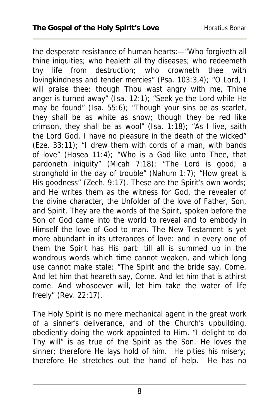the desperate resistance of human hearts:—"Who forgiveth all thine iniquities; who healeth all thy diseases; who redeemeth thy life from destruction; who crowneth thee with lovingkindness and tender mercies" (Psa. 103:3,4); "O Lord, I will praise thee: though Thou wast angry with me, Thine anger is turned away" (Isa. 12:1); "Seek ye the Lord while He may be found" (Isa. 55:6); "Though your sins be as scarlet, they shall be as white as snow; though they be red like crimson, they shall be as wool" (Isa.  $1:18$ ); "As I live, saith the Lord God, I have no pleasure in the death of the wicked"  $(Exe. 33:11)$ ; "I drew them with cords of a man, with bands of love" (Hosea 11:4); "Who is a God like unto Thee, that pardoneth iniquity" (Micah 7:18); "The Lord is good; a stronghold in the day of trouble" (Nahum 1:7); "How great is His goodness" (Zech. 9:17). These are the Spirit's own words; and He writes them as the witness for God, the revealer of the divine character, the Unfolder of the love of Father, Son, and Spirit. They are the words of the Spirit, spoken before the Son of God came into the world to reveal and to embody in Himself the love of God to man. The New Testament is yet more abundant in its utterances of love: and in every one of them the Spirit has His part: till all is summed up in the wondrous words which time cannot weaken, and which long use cannot make stale: "The Spirit and the bride say, Come. And let him that heareth say, Come. And let him that is athirst come. And whosoever will, let him take the water of life freely" (Rev. 22:17).

The Holy Spirit is no mere mechanical agent in the great work of a sinner's deliverance, and of the Church's upbuilding, obediently doing the work appointed to Him. "I delight to do Thy will" is as true of the Spirit as the Son. He loves the sinner; therefore He lays hold of him. He pities his misery; therefore He stretches out the hand of help. He has no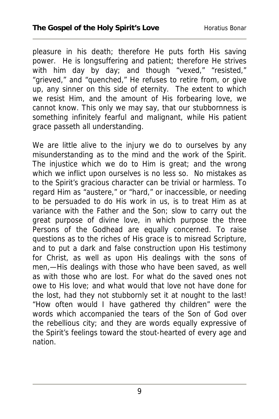pleasure in his death; therefore He puts forth His saving power. He is longsuffering and patient; therefore He strives with him day by day; and though "vexed," "resisted," "grieved," and "quenched," He refuses to retire from, or give up, any sinner on this side of eternity. The extent to which we resist Him, and the amount of His forbearing love, we cannot know. This only we may say, that our stubbornness is something infinitely fearful and malignant, while His patient grace passeth all understanding.

We are little alive to the injury we do to ourselves by any misunderstanding as to the mind and the work of the Spirit. The injustice which we do to Him is great; and the wrong which we inflict upon ourselves is no less so. No mistakes as to the Spirit's gracious character can be trivial or harmless. To regard Him as "austere," or "hard," or inaccessible, or needing to be persuaded to do His work in us, is to treat Him as at variance with the Father and the Son; slow to carry out the great purpose of divine love, in which purpose the three Persons of the Godhead are equally concerned. To raise questions as to the riches of His grace is to misread Scripture, and to put a dark and false construction upon His testimony for Christ, as well as upon His dealings with the sons of men,—His dealings with those who have been saved, as well as with those who are lost. For what do the saved ones not owe to His love; and what would that love not have done for the lost, had they not stubbornly set it at nought to the last! "How often would I have gathered thy children" were the words which accompanied the tears of the Son of God over the rebellious city; and they are words equally expressive of the Spirit's feelings toward the stout-hearted of every age and nation.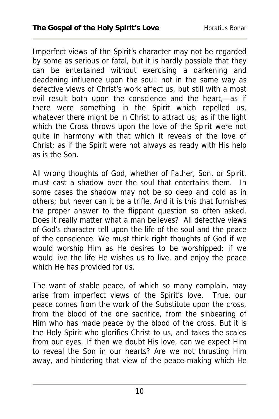Imperfect views of the Spirit's character may not be regarded by some as serious or fatal, but it is hardly possible that they can be entertained without exercising a darkening and deadening influence upon the soul: not in the same way as defective views of Christ's work affect us, but still with a most evil result both upon the conscience and the heart,—as if there were something in the Spirit which repelled us, whatever there might be in Christ to attract us; as if the light which the Cross throws upon the love of the Spirit were not quite in harmony with that which it reveals of the love of Christ; as if the Spirit were not always as ready with His help as is the Son.

All wrong thoughts of God, whether of Father, Son, or Spirit, must cast a shadow over the soul that entertains them. In some cases the shadow may not be so deep and cold as in others; but never can it be a trifle. And it is this that furnishes the proper answer to the flippant question so often asked, Does it really matter what a man believes? All defective views of God's character tell upon the life of the soul and the peace of the conscience. We must think right thoughts of God if we would worship Him as He desires to be worshipped; if we would live the life He wishes us to live, and enjoy the peace which He has provided for us.

The want of stable peace, of which so many complain, may arise from imperfect views of the Spirit's love. True, our peace comes from the work of the Substitute upon the cross, from the blood of the one sacrifice, from the sinbearing of Him who has made peace by the blood of the cross. But it is the Holy Spirit who glorifies Christ to us, and takes the scales from our eyes. If then we doubt His love, can we expect Him to reveal the Son in our hearts? Are we not thrusting Him away, and hindering that view of the peace-making which He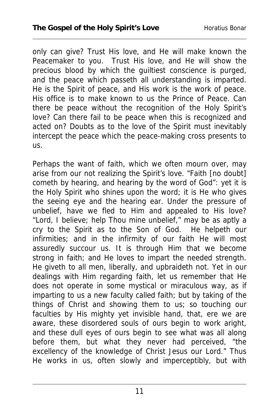only can give? Trust His love, and He will make known the Peacemaker to you. Trust His love, and He will show the precious blood by which the guiltiest conscience is purged, and the peace which passeth all understanding is imparted. He is the Spirit of peace, and His work is the work of peace. His office is to make known to us the Prince of Peace. Can there be peace without the recognition of the Holy Spirit's love? Can there fail to be peace when this is recognized and acted on? Doubts as to the love of the Spirit must inevitably intercept the peace which the peace-making cross presents to us.

Perhaps the want of faith, which we often mourn over, may arise from our not realizing the Spirit's love. "Faith [no doubt] cometh by hearing, and hearing by the word of God": yet it is the Holy Spirit who shines upon the word; it is He who gives the seeing eye and the hearing ear. Under the pressure of unbelief, have we fled to Him and appealed to His love? "Lord, I believe; help Thou mine unbelief," may be as aptly a cry to the Spirit as to the Son of God. He helpeth our infirmities; and in the infirmity of our faith He will most assuredly succour us. It is through Him that we become strong in faith; and He loves to impart the needed strength. He giveth to all men, liberally, and upbraideth not. Yet in our dealings with Him regarding faith, let us remember that He does not operate in some mystical or miraculous way, as if imparting to us a new faculty called faith; but by taking of the things of Christ and showing them to us; so touching our faculties by His mighty yet invisible hand, that, ere we are aware, these disordered souls of ours begin to work aright, and these dull eyes of ours begin to see what was all along before them, but what they never had perceived, "the excellency of the knowledge of Christ Jesus our Lord." Thus He works in us, often slowly and imperceptibly, but with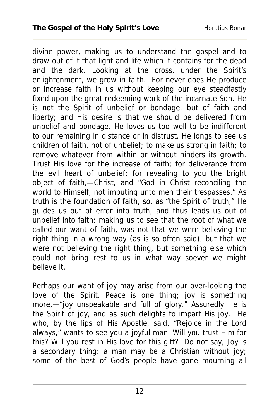divine power, making us to understand the gospel and to draw out of it that light and life which it contains for the dead and the dark. Looking at the cross, under the Spirit's enlightenment, we grow in faith. For never does He produce or increase faith in us without keeping our eye steadfastly fixed upon the great redeeming work of the incarnate Son. He is not the Spirit of unbelief or bondage, but of faith and liberty; and His desire is that we should be delivered from unbelief and bondage. He loves us too well to be indifferent to our remaining in distance or in distrust. He longs to see us children of faith, not of unbelief; to make us strong in faith; to remove whatever from within or without hinders its growth. Trust His love for the increase of faith; for deliverance from the evil heart of unbelief; for revealing to you the bright object of faith,—Christ, and "God in Christ reconciling the world to Himself, not imputing unto men their trespasses." As truth is the foundation of faith, so, as "the Spirit of truth," He guides us out of error into truth, and thus leads us out of unbelief into faith; making us to see that the root of what we called our want of faith, was not that we were believing the right thing in a wrong way (as is so often said), but that we were not believing the right thing, but something else which could not bring rest to us in what way soever we might believe it.

Perhaps our want of joy may arise from our over-looking the love of the Spirit. Peace is one thing; joy is something more,—"joy unspeakable and full of glory." Assuredly He is the Spirit of joy, and as such delights to impart His joy. He who, by the lips of His Apostle, said, "Rejoice in the Lord always," wants to see you a joyful man. Will you trust Him for this? Will you rest in His love for this gift? Do not say, Joy is a secondary thing: a man may be a Christian without joy; some of the best of God's people have gone mourning all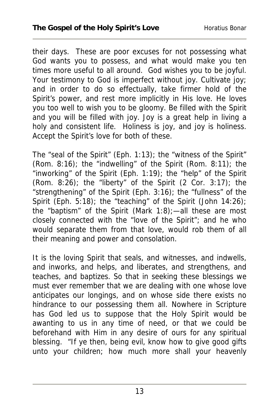their days. These are poor excuses for not possessing what God wants you to possess, and what would make you ten times more useful to all around. God wishes you to be joyful. Your testimony to God is imperfect without joy. Cultivate joy; and in order to do so effectually, take firmer hold of the Spirit's power, and rest more implicitly in His love. He loves you too well to wish you to be gloomy. Be filled with the Spirit and you will be filled with joy. Joy is a great help in living a holy and consistent life. Holiness is joy, and joy is holiness. Accept the Spirit's love for both of these.

The "seal of the Spirit" (Eph. 1:13); the "witness of the Spirit" (Rom. 8:16); the "indwelling" of the Spirit (Rom. 8:11); the "inworking" of the Spirit (Eph. 1:19); the "help" of the Spirit (Rom.  $8:\overline{26}$ ); the "liberty" of the Spirit (2 Cor.  $3:17$ ); the "strengthening" of the Spirit (Eph. 3:16); the "fullness" of the Spirit (Eph. 5:18); the "teaching" of the Spirit (John 14:26); the "baptism" of the Spirit (Mark  $1:8$ ); —all these are most closely connected with the "love of the Spirit"; and he who would separate them from that love, would rob them of all their meaning and power and consolation.

It is the loving Spirit that seals, and witnesses, and indwells, and inworks, and helps, and liberates, and strengthens, and teaches, and baptizes. So that in seeking these blessings we must ever remember that we are dealing with one whose love anticipates our longings, and on whose side there exists no hindrance to our possessing them all. Nowhere in Scripture has God led us to suppose that the Holy Spirit would be awanting to us in any time of need, or that we could be beforehand with Him in any desire of ours for any spiritual blessing. "If ye then, being evil, know how to give good gifts unto your children; how much more shall your heavenly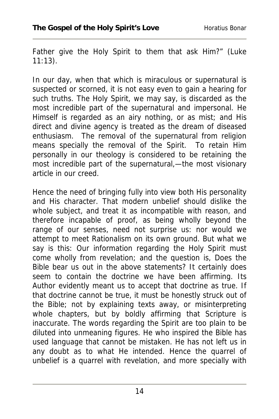Father give the Holy Spirit to them that ask Him?" (Luke 11:13).

In our day, when that which is miraculous or supernatural is suspected or scorned, it is not easy even to gain a hearing for such truths. The Holy Spirit, we may say, is discarded as the most incredible part of the supernatural and impersonal. He Himself is regarded as an airy nothing, or as mist; and His direct and divine agency is treated as the dream of diseased enthusiasm. The removal of the supernatural from religion means specially the removal of the Spirit. To retain Him personally in our theology is considered to be retaining the most incredible part of the supernatural,—the most visionary article in our creed.

Hence the need of bringing fully into view both His personality and His character. That modern unbelief should dislike the whole subject, and treat it as incompatible with reason, and therefore incapable of proof, as being wholly beyond the range of our senses, need not surprise us: nor would we attempt to meet Rationalism on its own ground. But what we say is this: Our information regarding the Holy Spirit must come wholly from revelation; and the question is, Does the Bible bear us out in the above statements? It certainly does seem to contain the doctrine we have been affirming. Its Author evidently meant us to accept that doctrine as true. If that doctrine cannot be true, it must be honestly struck out of the Bible; not by explaining texts away, or misinterpreting whole chapters, but by boldly affirming that Scripture is inaccurate. The words regarding the Spirit are too plain to be diluted into unmeaning figures. He who inspired the Bible has used language that cannot be mistaken. He has not left us in any doubt as to what He intended. Hence the quarrel of unbelief is a quarrel with revelation, and more specially with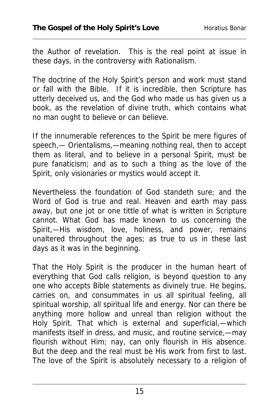the Author of revelation. This is the real point at issue in these days, in the controversy with Rationalism.

The doctrine of the Holy Spirit's person and work must stand or fall with the Bible. If it is incredible, then Scripture has utterly deceived us, and the God who made us has given us a book, as the revelation of divine truth, which contains what no man ought to believe or can believe.

If the innumerable references to the Spirit be mere figures of speech,— Orientalisms,—meaning nothing real, then to accept them as literal, and to believe in a personal Spirit, must be pure fanaticism; and as to such a thing as the love of the Spirit, only visionaries or mystics would accept it.

Nevertheless the foundation of God standeth sure; and the Word of God is true and real. Heaven and earth may pass away, but one jot or one tittle of what is written in Scripture cannot. What God has made known to us concerning the Spirit,—His wisdom, love, holiness, and power, remains unaltered throughout the ages; as true to us in these last days as it was in the beginning.

That the Holy Spirit is the producer in the human heart of everything that God calls religion, is beyond question to any one who accepts Bible statements as divinely true. He begins, carries on, and consummates in us all spiritual feeling, all spiritual worship, all spiritual life and energy. Nor can there be anything more hollow and unreal than religion without the Holy Spirit. That which is external and superficial,—which manifests itself in dress, and music, and routine service,—may flourish without Him; nay, can only flourish in His absence. But the deep and the real must be His work from first to last. The love of the Spirit is absolutely necessary to a religion of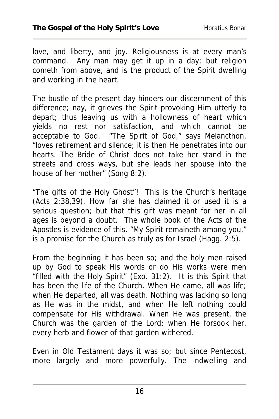love, and liberty, and joy. Religiousness is at every man's command. Any man may get it up in a day; but religion cometh from above, and is the product of the Spirit dwelling and working in the heart.

The bustle of the present day hinders our discernment of this difference; nay, it grieves the Spirit provoking Him utterly to depart; thus leaving us with a hollowness of heart which yields no rest nor satisfaction, and which cannot be acceptable to God. "The Spirit of God," says Melancthon, "loves retirement and silence; it is then He penetrates into our hearts. The Bride of Christ does not take her stand in the streets and cross ways, but she leads her spouse into the house of her mother" (Song 8:2).

"The gifts of the Holy Ghost"! This is the Church's heritage (Acts 2:38,39). How far she has claimed it or used it is a serious question; but that this gift was meant for her in all ages is beyond a doubt. The whole book of the Acts of the Apostles is evidence of this. "My Spirit remaineth among you," is a promise for the Church as truly as for Israel (Hagg. 2:5).

From the beginning it has been so; and the holy men raised up by God to speak His words or do His works were men "filled with the Holy Spirit" (Exo. 31:2). It is this Spirit that has been the life of the Church. When He came, all was life; when He departed, all was death. Nothing was lacking so long as He was in the midst, and when He left nothing could compensate for His withdrawal. When He was present, the Church was the garden of the Lord; when He forsook her, every herb and flower of that garden withered.

Even in Old Testament days it was so; but since Pentecost, more largely and more powerfully. The indwelling and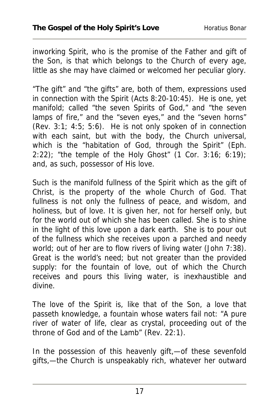inworking Spirit, who is the promise of the Father and gift of the Son, is that which belongs to the Church of every age, little as she may have claimed or welcomed her peculiar glory.

"The gift" and "the gifts" are, both of them, expressions used in connection with the Spirit (Acts 8:20-10:45). He is one, yet manifold; called "the seven Spirits of God," and "the seven lamps of fire," and the "seven eyes," and the "seven horns" (Rev. 3:1; 4:5; 5:6). He is not only spoken of in connection with each saint, but with the body, the Church universal, which is the "habitation of God, through the Spirit" (Eph. 2:22); "the temple of the Holy Ghost"  $(1 \text{ Cor. } 3:16; 6:19)$ ; and, as such, possessor of His love.

Such is the manifold fullness of the Spirit which as the gift of Christ, is the property of the whole Church of God. That fullness is not only the fullness of peace, and wisdom, and holiness, but of love. It is given her, not for herself only, but for the world out of which she has been called. She is to shine in the light of this love upon a dark earth. She is to pour out of the fullness which she receives upon a parched and needy world; out of her are to flow rivers of living water (John 7:38). Great is the world's need; but not greater than the provided supply: for the fountain of love, out of which the Church receives and pours this living water, is inexhaustible and divine.

The love of the Spirit is, like that of the Son, a love that passeth knowledge, a fountain whose waters fail not: "A pure river of water of life, clear as crystal, proceeding out of the throne of God and of the Lamb" (Rev. 22:1).

In the possession of this heavenly gift,—of these sevenfold gifts,—the Church is unspeakably rich, whatever her outward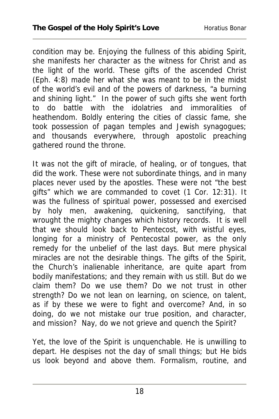condition may be. Enjoying the fullness of this abiding Spirit, she manifests her character as the witness for Christ and as the light of the world. These gifts of the ascended Christ (Eph. 4:8) made her what she was meant to be in the midst of the world's evil and of the powers of darkness, "a burning and shining light." In the power of such gifts she went forth to do battle with the idolatries and immoralities of heathendom. Boldly entering the cities of classic fame, she took possession of pagan temples and Jewish synagogues; and thousands everywhere, through apostolic preaching gathered round the throne.

It was not the gift of miracle, of healing, or of tongues, that did the work. These were not subordinate things, and in many places never used by the apostles. These were not "the best gifts" which we are commanded to covet (1 Cor. 12:31). It was the fullness of spiritual power, possessed and exercised by holy men, awakening, quickening, sanctifying, that wrought the mighty changes which history records. It is well that we should look back to Pentecost, with wistful eyes, longing for a ministry of Pentecostal power, as the only remedy for the unbelief of the last days. But mere physical miracles are not the desirable things. The gifts of the Spirit, the Church's inalienable inheritance, are quite apart from bodily manifestations; and they remain with us still. But do we claim them? Do we use them? Do we not trust in other strength? Do we not lean on learning, on science, on talent, as if by these we were to fight and overcome? And, in so doing, do we not mistake our true position, and character, and mission? Nay, do we not grieve and quench the Spirit?

Yet, the love of the Spirit is unquenchable. He is unwilling to depart. He despises not the day of small things; but He bids us look beyond and above them. Formalism, routine, and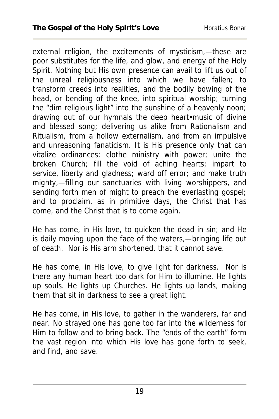external religion, the excitements of mysticism,—these are poor substitutes for the life, and glow, and energy of the Holy Spirit. Nothing but His own presence can avail to lift us out of the unreal religiousness into which we have fallen; to transform creeds into realities, and the bodily bowing of the head, or bending of the knee, into spiritual worship; turning the "dim religious light" into the sunshine of a heavenly noon; drawing out of our hymnals the deep heart•music of divine and blessed song; delivering us alike from Rationalism and Ritualism, from a hollow externalism, and from an impulsive and unreasoning fanaticism. It is His presence only that can vitalize ordinances; clothe ministry with power; unite the broken Church; fill the void of aching hearts; impart to service, liberty and gladness; ward off error; and make truth mighty,—filling our sanctuaries with living worshippers, and sending forth men of might to preach the everlasting gospel; and to proclaim, as in primitive days, the Christ that has come, and the Christ that is to come again.

He has come, in His love, to quicken the dead in sin; and He is daily moving upon the face of the waters,—bringing life out of death. Nor is His arm shortened, that it cannot save.

He has come, in His love, to give light for darkness. Nor is there any human heart too dark for Him to illumine. He lights up souls. He lights up Churches. He lights up lands, making them that sit in darkness to see a great light.

He has come, in His love, to gather in the wanderers, far and near. No strayed one has gone too far into the wilderness for Him to follow and to bring back. The "ends of the earth" form the vast region into which His love has gone forth to seek, and find, and save.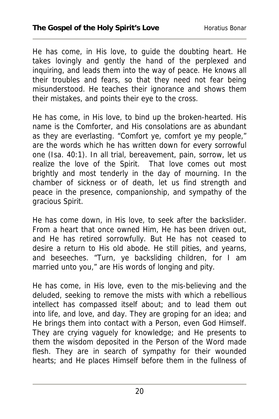He has come, in His love, to guide the doubting heart. He takes lovingly and gently the hand of the perplexed and inquiring, and leads them into the way of peace. He knows all their troubles and fears, so that they need not fear being misunderstood. He teaches their ignorance and shows them their mistakes, and points their eye to the cross.

He has come, in His love, to bind up the broken-hearted. His name is the Comforter, and His consolations are as abundant as they are everlasting. "Comfort ye, comfort ye my people," are the words which he has written down for every sorrowful one (Isa. 40:1). In all trial, bereavement, pain, sorrow, let us realize the love of the Spirit. That love comes out most brightly and most tenderly in the day of mourning. In the chamber of sickness or of death, let us find strength and peace in the presence, companionship, and sympathy of the gracious Spirit.

He has come down, in His love, to seek after the backslider. From a heart that once owned Him, He has been driven out, and He has retired sorrowfully. But He has not ceased to desire a return to His old abode. He still pities, and yearns, and beseeches. "Turn, ye backsliding children, for I am married unto you," are His words of longing and pity.

He has come, in His love, even to the mis-believing and the deluded, seeking to remove the mists with which a rebellious intellect has compassed itself about; and to lead them out into life, and love, and day. They are groping for an idea; and He brings them into contact with a Person, even God Himself. They are crying vaguely for knowledge; and He presents to them the wisdom deposited in the Person of the Word made flesh. They are in search of sympathy for their wounded hearts; and He places Himself before them in the fullness of